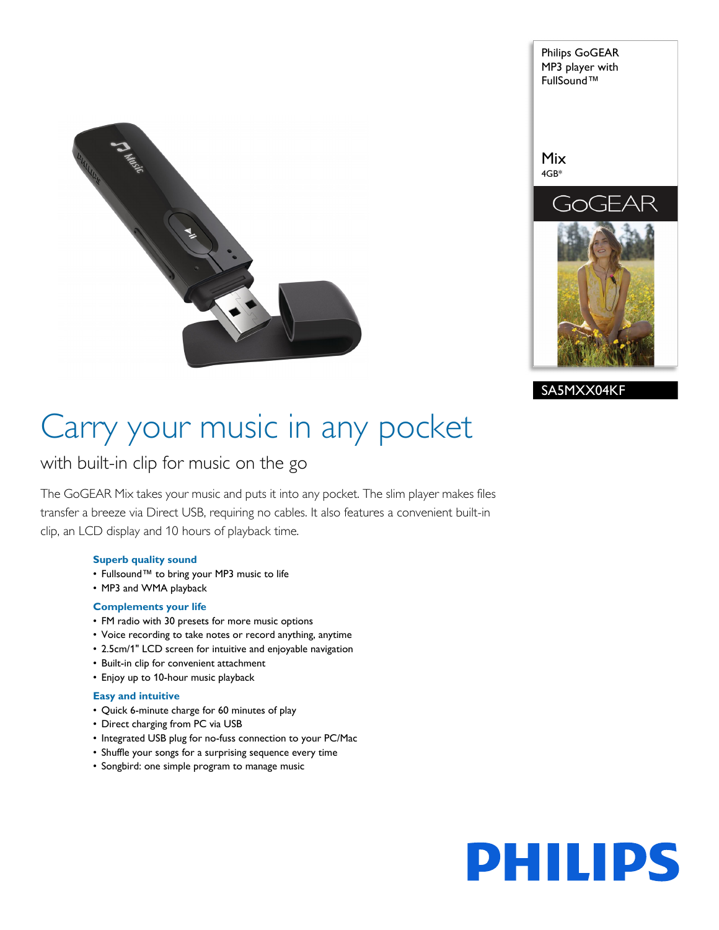



### SA5MXX04KF

## Carry your music in any pocket

### with built-in clip for music on the go

The GoGEAR Mix takes your music and puts it into any pocket. The slim player makes files transfer a breeze via Direct USB, requiring no cables. It also features a convenient built-in clip, an LCD display and 10 hours of playback time.

### **Superb quality sound**

- Fullsound™ to bring your MP3 music to life
- MP3 and WMA playback

### **Complements your life**

- FM radio with 30 presets for more music options
- Voice recording to take notes or record anything, anytime
- 2.5cm/1" LCD screen for intuitive and enjoyable navigation
- Built-in clip for convenient attachment
- Enjoy up to 10-hour music playback

### **Easy and intuitive**

- Quick 6-minute charge for 60 minutes of play
- Direct charging from PC via USB
- Integrated USB plug for no-fuss connection to your PC/Mac
- Shuffle your songs for a surprising sequence every time
- Songbird: one simple program to manage music

# **PHILIPS**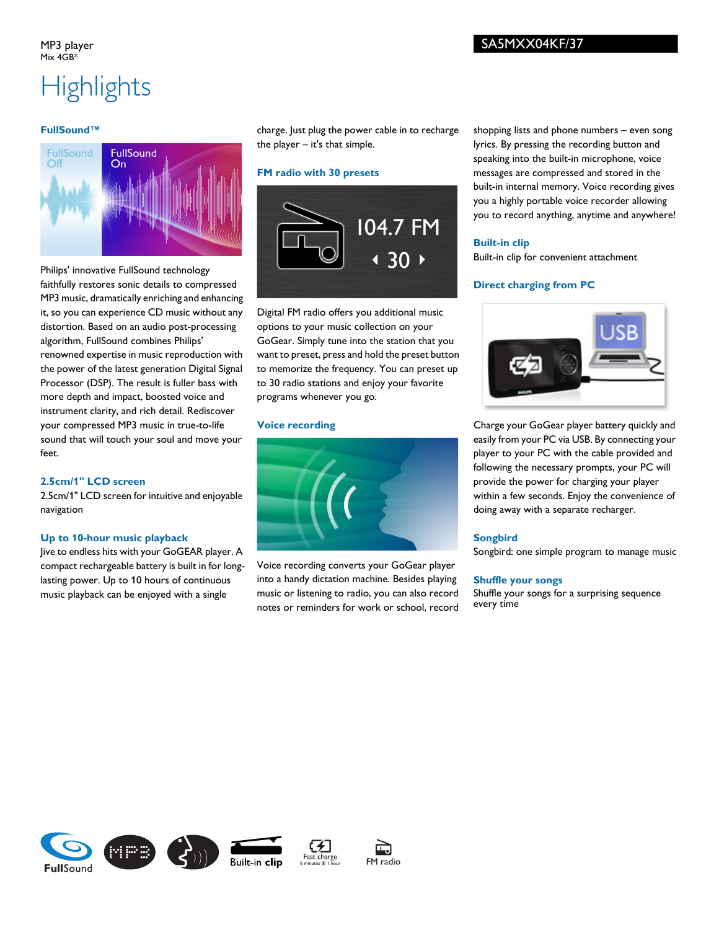### SA5MXX04KF/37

### MP3 player Mix 4GB\*

### **Highlights**

### **FullSound™**



Philips' innovative FullSound technology faithfully restores sonic details to compressed MP3 music, dramatically enriching and enhancing it, so you can experience CD music without any distortion. Based on an audio post-processing algorithm, FullSound combines Philips' renowned expertise in music reproduction with the power of the latest generation Digital Signal Processor (DSP). The result is fuller bass with more depth and impact, boosted voice and instrument clarity, and rich detail. Rediscover your compressed MP3 music in true-to-life sound that will touch your soul and move your feet.

### **2.5cm/1" LCD screen**

2.5cm/1" LCD screen for intuitive and enjoyable navigation

### **Up to 10-hour music playback**

Jive to endless hits with your GoGEAR player. A compact rechargeable battery is built in for longlasting power. Up to 10 hours of continuous music playback can be enjoyed with a single

charge. Just plug the power cable in to recharge the player – it's that simple.

### **FM radio with 30 presets**



Digital FM radio offers you additional music options to your music collection on your GoGear. Simply tune into the station that you want to preset, press and hold the preset button to memorize the frequency. You can preset up to 30 radio stations and enjoy your favorite programs whenever you go.

### **Voice recording**



Voice recording converts your GoGear player into a handy dictation machine. Besides playing music or listening to radio, you can also record notes or reminders for work or school, record shopping lists and phone numbers – even song lyrics. By pressing the recording button and speaking into the built-in microphone, voice messages are compressed and stored in the built-in internal memory. Voice recording gives you a highly portable voice recorder allowing you to record anything, anytime and anywhere!

### **Built-in clip**

Built-in clip for convenient attachment

### **Direct charging from PC**



Charge your GoGear player battery quickly and easily from your PC via USB. By connecting your player to your PC with the cable provided and following the necessary prompts, your PC will provide the power for charging your player within a few seconds. Enjoy the convenience of doing away with a separate recharger.

### **Songbird**

Songbird: one simple program to manage music

### **Shuffle your songs**

Shuffle your songs for a surprising sequence every time